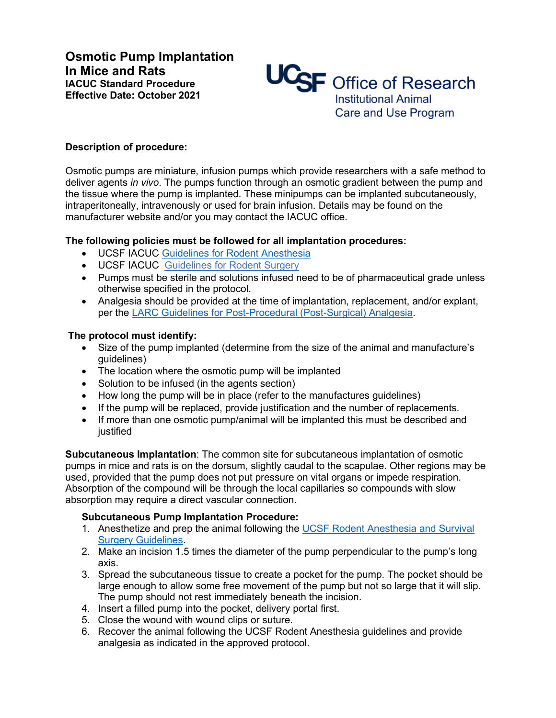**Osmotic Pump Implantation In Mice and Rats IACUC Standard Procedure Effective Date: October 2021**



# **Description of procedure:**

Osmotic pumps are miniature, infusion pumps which provide researchers with a safe method to deliver agents *in vivo*. The pumps function through an osmotic gradient between the pump and the tissue where the pump is implanted. These minipumps can be implanted subcutaneously, intraperitoneally, intravenously or used for brain infusion. Details may be found on the manufacturer website and/or you may contact the IACUC office.

### **The following policies must be followed for all implantation procedures:**

- UCSF IACUC [Guidelines for Rodent Anesthesia](https://iacuc.ucsf.edu/sites/g/files/tkssra751/f/wysiwyg/Guideline%20-%20Anesthesia%20-%20Rodents.pdf)
- UCSF IACUC [Guidelines for Rodent Surgery](https://iacuc.ucsf.edu/sites/g/files/tkssra751/f/wysiwyg/GUIDELINE%20-%20Surgery%20Guidelines%20-%20Rodents%20%285%29.pdf)
- Pumps must be sterile and solutions infused need to be of pharmaceutical grade unless otherwise specified in the protocol.
- Analgesia should be provided at the time of implantation, replacement, and/or explant, per the [LARC Guidelines for Post-Procedural \(Post-Surgical\) Analgesia.](https://larc.ucsf.edu/veterinary-information)

# **The protocol must identify:**

- Size of the pump implanted (determine from the size of the animal and manufacture's guidelines)
- The location where the osmotic pump will be implanted
- Solution to be infused (in the agents section)
- How long the pump will be in place (refer to the manufactures guidelines)
- If the pump will be replaced, provide justification and the number of replacements.
- If more than one osmotic pump/animal will be implanted this must be described and iustified

**Subcutaneous Implantation**: The common site for subcutaneous implantation of osmotic pumps in mice and rats is on the dorsum, slightly caudal to the scapulae. Other regions may be used, provided that the pump does not put pressure on vital organs or impede respiration. Absorption of the compound will be through the local capillaries so compounds with slow absorption may require a direct vascular connection.

### **Subcutaneous Pump Implantation Procedure:**

- 1. Anesthetize and prep the animal following the UCSF [Rodent Anesthesia and Survival](https://iacuc.ucsf.edu/guidelines)  [Surgery Guidelines.](https://iacuc.ucsf.edu/guidelines)
- 2. Make an incision 1.5 times the diameter of the pump perpendicular to the pump's long axis.
- 3. Spread the subcutaneous tissue to create a pocket for the pump. The pocket should be large enough to allow some free movement of the pump but not so large that it will slip. The pump should not rest immediately beneath the incision.
- 4. Insert a filled pump into the pocket, delivery portal first.
- 5. Close the wound with wound clips or suture.
- 6. Recover the animal following the UCSF Rodent Anesthesia guidelines and provide analgesia as indicated in the approved protocol.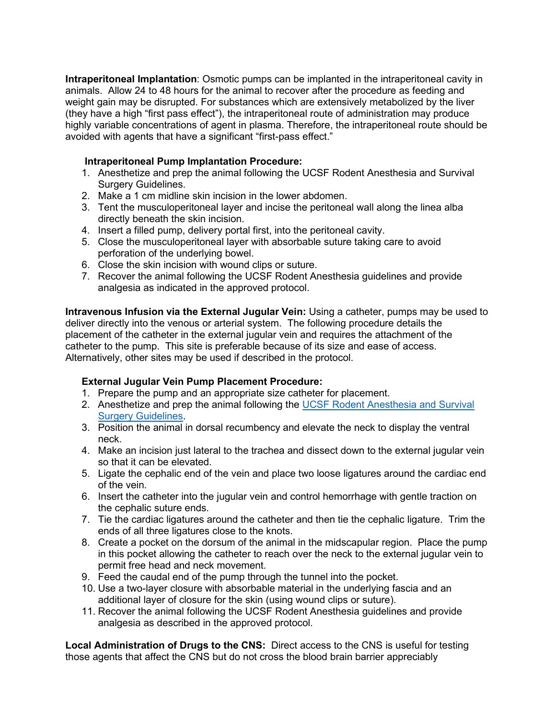**Intraperitoneal Implantation**: Osmotic pumps can be implanted in the intraperitoneal cavity in animals. Allow 24 to 48 hours for the animal to recover after the procedure as feeding and weight gain may be disrupted. For substances which are extensively metabolized by the liver (they have a high "first pass effect"), the intraperitoneal route of administration may produce highly variable concentrations of agent in plasma. Therefore, the intraperitoneal route should be avoided with agents that have a significant "first-pass effect."

# **Intraperitoneal Pump Implantation Procedure:**

- 1. Anesthetize and prep the animal following the UCSF Rodent Anesthesia and Survival Surgery Guidelines.
- 2. Make a 1 cm midline skin incision in the lower abdomen.
- 3. Tent the musculoperitoneal layer and incise the peritoneal wall along the linea alba directly beneath the skin incision.
- 4. Insert a filled pump, delivery portal first, into the peritoneal cavity.
- 5. Close the musculoperitoneal layer with absorbable suture taking care to avoid perforation of the underlying bowel.
- 6. Close the skin incision with wound clips or suture.
- 7. Recover the animal following the UCSF Rodent Anesthesia guidelines and provide analgesia as indicated in the approved protocol.

**Intravenous Infusion via the External Jugular Vein:** Using a catheter, pumps may be used to deliver directly into the venous or arterial system. The following procedure details the placement of the catheter in the external jugular vein and requires the attachment of the catheter to the pump. This site is preferable because of its size and ease of access. Alternatively, other sites may be used if described in the protocol.

# **External Jugular Vein Pump Placement Procedure:**

- 1. Prepare the pump and an appropriate size catheter for placement.
- 2. Anesthetize and prep the animal following the [UCSF Rodent Anesthesia and Survival](https://iacuc.ucsf.edu/guidelines)  [Surgery Guidelines.](https://iacuc.ucsf.edu/guidelines)
- 3. Position the animal in dorsal recumbency and elevate the neck to display the ventral neck.
- 4. Make an incision just lateral to the trachea and dissect down to the external jugular vein so that it can be elevated.
- 5. Ligate the cephalic end of the vein and place two loose ligatures around the cardiac end of the vein.
- 6. Insert the catheter into the jugular vein and control hemorrhage with gentle traction on the cephalic suture ends.
- 7. Tie the cardiac ligatures around the catheter and then tie the cephalic ligature. Trim the ends of all three ligatures close to the knots.
- 8. Create a pocket on the dorsum of the animal in the midscapular region. Place the pump in this pocket allowing the catheter to reach over the neck to the external jugular vein to permit free head and neck movement.
- 9. Feed the caudal end of the pump through the tunnel into the pocket.
- 10. Use a two-layer closure with absorbable material in the underlying fascia and an additional layer of closure for the skin (using wound clips or suture).
- 11. Recover the animal following the UCSF Rodent Anesthesia guidelines and provide analgesia as described in the approved protocol.

**Local Administration of Drugs to the CNS:** Direct access to the CNS is useful for testing those agents that affect the CNS but do not cross the blood brain barrier appreciably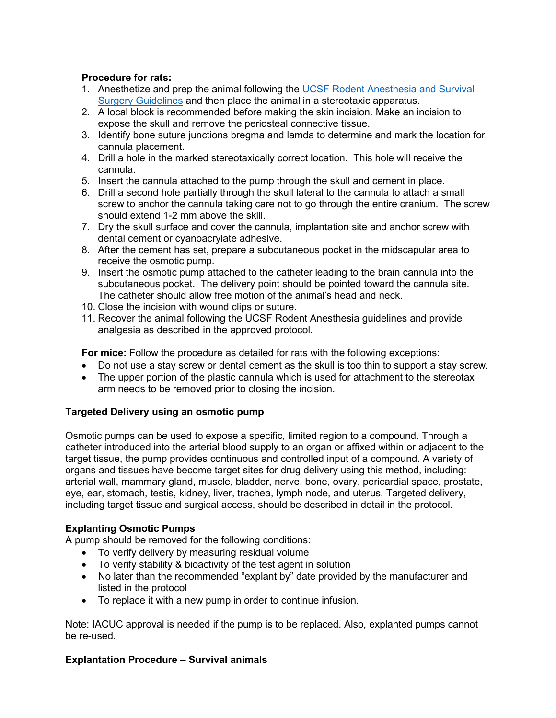# **Procedure for rats:**

- 1. Anesthetize and prep the animal following the UCSF Rodent Anesthesia and Survival [Surgery Guidelines](https://iacuc.ucsf.edu/guidelines) and then place the animal in a stereotaxic apparatus.
- 2. A local block is recommended before making the skin incision. Make an incision to expose the skull and remove the periosteal connective tissue.
- 3. Identify bone suture junctions bregma and lamda to determine and mark the location for cannula placement.
- 4. Drill a hole in the marked stereotaxically correct location. This hole will receive the cannula.
- 5. Insert the cannula attached to the pump through the skull and cement in place.
- 6. Drill a second hole partially through the skull lateral to the cannula to attach a small screw to anchor the cannula taking care not to go through the entire cranium. The screw should extend 1-2 mm above the skill.
- 7. Dry the skull surface and cover the cannula, implantation site and anchor screw with dental cement or cyanoacrylate adhesive.
- 8. After the cement has set, prepare a subcutaneous pocket in the midscapular area to receive the osmotic pump.
- 9. Insert the osmotic pump attached to the catheter leading to the brain cannula into the subcutaneous pocket. The delivery point should be pointed toward the cannula site. The catheter should allow free motion of the animal's head and neck.
- 10. Close the incision with wound clips or suture.
- 11. Recover the animal following the UCSF Rodent Anesthesia guidelines and provide analgesia as described in the approved protocol.

**For mice:** Follow the procedure as detailed for rats with the following exceptions:

- Do not use a stay screw or dental cement as the skull is too thin to support a stay screw.
- The upper portion of the plastic cannula which is used for attachment to the stereotax arm needs to be removed prior to closing the incision.

### **Targeted Delivery using an osmotic pump**

Osmotic pumps can be used to expose a specific, limited region to a compound. Through a catheter introduced into the arterial blood supply to an organ or affixed within or adjacent to the target tissue, the pump provides continuous and controlled input of a compound. A variety of organs and tissues have become target sites for drug delivery using this method, including: arterial wall, mammary gland, muscle, bladder, nerve, bone, ovary, pericardial space, prostate, eye, ear, stomach, testis, kidney, liver, trachea, lymph node, and uterus. Targeted delivery, including target tissue and surgical access, should be described in detail in the protocol.

### **Explanting Osmotic Pumps**

A pump should be removed for the following conditions:

- To verify delivery by measuring residual volume
- To verify stability & bioactivity of the test agent in solution
- No later than the recommended "explant by" date provided by the manufacturer and listed in the protocol
- To replace it with a new pump in order to continue infusion.

Note: IACUC approval is needed if the pump is to be replaced. Also, explanted pumps cannot be re-used.

### **Explantation Procedure – Survival animals**